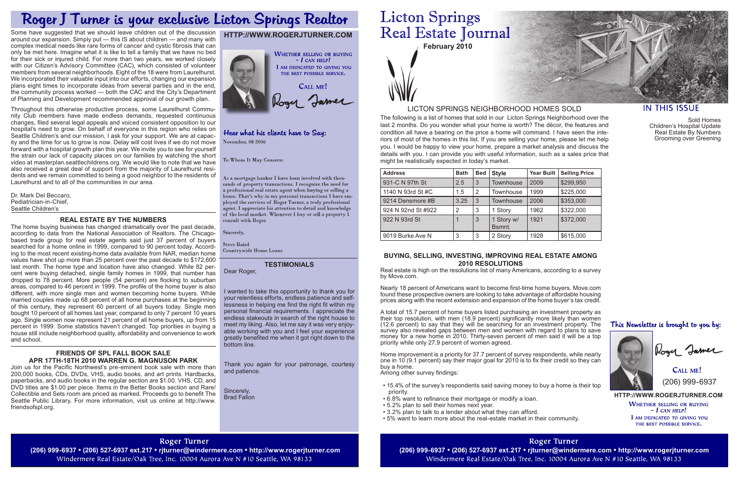**February 2010**

The following is a list of homes that sold in our Licton Springs Neighborhood over the last 2 months. Do you wonder what your home is worth? The décor, the features and condition all have a bearing on the price a home will command. I have seen the interiors of most of the homes in this list. If you are selling your home, please let me help you. I would be happy to view your home, prepare a market analysis and discuss the details with you. I can provide you with useful information, such as a sales price that might be realistically expected in today's market.

> **HTTP://WWW.ROGERJTURNER.COM WHETHER SELLING OR BUYING**  $-$  I can help! I AM DEDICATED TO GIVING YOU THE BEST POSSIBLE SERVICE.

CALL ME! (206) 999-6937

## LICTON SPRINGS NEIGHBORHOOD HOMES SOLD

## **HTTP://WWW.ROGERJTURNER.COM**



## Hear what his clients have to Say: November, 08 2006

To Whom It May Concern:

As a mortgage banker I have been involved with thousands of property transactions. I recognize the need for a professional real estate agent when buying or selling a home. That's why in my personal transactions I have employed the services of Roger Turner, a truly professional agent. I appreciate his attention to detail and knowledge of the local market. Whenever I buy or sell a property  $\check{\mathrm{I}}$ consult with Roger.

Sincerely,

| <b>Address</b>     | <b>Bath</b> | <b>Bed</b>     | <b>Style</b>         | <b>Year Built</b> | <b>Selling Price</b> |
|--------------------|-------------|----------------|----------------------|-------------------|----------------------|
| 931-C N 97th St    | 2.5         | 3              | <b>Townhouse</b>     | 2009              | \$299,950            |
| 1140 N 93rd St #C  | 1.5         | $\overline{2}$ | Townhouse            | 1999              | \$225,000            |
| 9214 Densmore #B   | 3.25        | -3             | <b>Townhouse</b>     | 2006              | \$353,000            |
| 924 N 92nd St #922 | 2           | 3              | 1 Story              | 1962              | \$322,000            |
| 922 N 93rd St      |             | 3              | 1 Story w/<br>Bsmnt. | 1921              | \$372,000            |
| 9019 Burke Ave N   | 3           | 3              | 2 Story              | 1928              | \$615,000            |

#### **BUYING, SELLING, INVESTING, IMPROVING REAL ESTATE AMONG 2010 RESOLUTIONS**

Real estate is high on the resolutions list of many Americans, according to a survey by Move.com.

Nearly 18 percent of Americans want to become first-time home buyers. Move.com found these prospective owners are looking to take advantage of affordable housing prices along with the recent extension and expansion of the home buyer's tax credit.

A total of 15.7 percent of home buyers listed purchasing an investment property as their top resolution, with men (18.9 percent) significantly more likely than women (12.6 percent) to say that they will be searching for an investment property. The survey also revealed gaps between men and women with regard to plans to save money for a new home in 2010. Thirty-seven percent of men said it will be a top priority while only 27.9 percent of women agreed.

Home improvement is a priority for 37.7 percent of survey respondents, while nearly one in 10 (9.1 percent) say their major goal for 2010 is to fix their credit so they can buy a home.

Among other survey findings:

- 15.4% of the survey's respondents said saving money to buy a home is their top priority.
- 6.8% want to refinance their mortgage or modify a loan.
- 5.2% plan to sell their homes next year.
- 3.2% plan to talk to a lender about what they can afford.
- 5% want to learn more about the real-estate market in their community.

**Roger Turner (206) 999-6937 • (206) 527-6937 ext.217 • rjturner@windermere.com • http://www.rogerjturner.com (206) 999-6937 • (206) 527-6937 ext.217 • rjturner@windermere.com • http://www.rogerjturner.com** Windermere Real Estate/Oak Tree, Inc. 10004 Aurora Ave N #10 Seattle, WA 98133

## **Roger Turner**

Windermere Real Estate/Oak Tree, Inc. 10004 Aurora Ave N #10 Seattle, WA 98133



## **IN THIS ISSUE**

# Roger J Turner is your exclusive Licton Springs Realtor

Some have suggested that we should leave children out of the discussion around our expansion. Simply put — this IS about children — and many with complex medical needs like rare forms of cancer and cystic fibrosis that can only be met here. Imagine what it is like to tell a family that we have no bed for their sick or injured child. For more than two years, we worked closely with our Citizen's Advisory Committee (CAC), which consisted of volunteer members from several neighborhoods. Eight of the 18 were from Laurelhurst. We incorporated their valuable input into our efforts, changing our expansion plans eight times to incorporate ideas from several parties and in the end, the community process worked — both the CAC and the City's Department of Planning and Development recommended approval of our growth plan.

Throughout this otherwise productive process, some Laurelhurst Community Club members have made endless demands, requested continuous changes, filed several legal appeals and voiced consistent opposition to our hospital's need to grow. On behalf of everyone in this region who relies on Seattle Children's and our mission, I ask for your support. We are at capacity and the time for us to grow is now. Delay will cost lives if we do not move forward with a hospital growth plan this year. We invite you to see for yourself the strain our lack of capacity places on our families by watching the short video at masterplan.seattlechildrens.org. We would like to note that we have also received a great deal of support from the majority of Laurelhurst residents and we remain committed to being a good neighbor to the residents of Laurelhurst and to all of the communities in our area.

Dr. Mark Del Beccaro, Pediatrician-in-Chief, Seattle Children's

### **REAL ESTATE BY THE NUMBERS**

The home buying business has changed dramatically over the past decade, according to data from the National Association of Realtors. The Chicagobased trade group for real estate agents said just 37 percent of buyers searched for a home online in 1999, compared to 90 percent today. According to the most recent existing-home data available from NAR, median home values have shot up more than 25 percent over the past decade to \$172,600 last month. The home type and location have also changed. While 82 percent were buying detached, single family homes in 1999, that number has dropped to 78 percent. More people (54 percent) are flocking to suburban areas, compared to 46 percent in 1999. The profile of the home buyer is also different, with more single men and women becoming home buyers. While married couples made up 68 percent of all home purchases at the beginning of this century, they represent 60 percent of all buyers today. Single men bought 10 percent of all homes last year, compared to only 7 percent 10 years ago. Single women now represent 21 percent of all home buyers, up from 15 percent in 1999. Some statistics haven't changed: Top priorities in buying a house still include neighborhood quality, affordability and convenience to work and school.

#### **FRIENDS OF SPL FALL BOOK SALE APR 17TH-18TH 2010 WARREN G. MAGNUSON PARK**

Join us for the Pacific Northwest's pre-eminent book sale with more than 200,000 books, CDs, DVDs, VHS, audio books, and art prints. Hardbacks, paperbacks, and audio books in the regular section are \$1.00. VHS, CD, and DVD titles are \$1.00 per piece. Items in the Better Books section and Rare/ Collectible and Sets room are priced as marked. Proceeds go to benefit The Seattle Public Library. For more information, visit us online at http://www. friendsofspl.org.

Sold Homes Children's Hospital Update Real Estate By Numbers Grooming over Greening

This Newsletter is brought to you by:



Logy James

#### **TESTIMONIALS**

Dear Roger,

**Steve Baird** Countrywide Home Loans

I wanted to take this opportunity to thank you for your relentless efforts, endless patience and selflessness in helping me find the right fit within my personal financial requirements. I appreciate the endless stakeouts in search of the right house to meet my liking. Also, let me say it was very enjoyable working with you and I feel your experience greatly benefited me when it got right down to the bottom line.

Thank you again for your patronage, courtesy and patience.

Sincerely, Brad Fallon

## **Licton Springs** Real Estate Journal